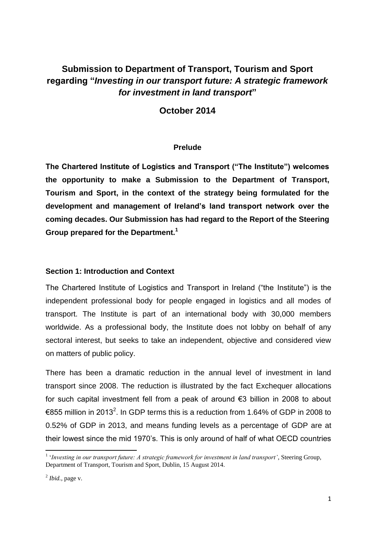# **Submission to Department of Transport, Tourism and Sport regarding "***Investing in our transport future: A strategic framework for investment in land transport***"**

# **October 2014**

# **Prelude**

**The Chartered Institute of Logistics and Transport ("The Institute") welcomes the opportunity to make a Submission to the Department of Transport, Tourism and Sport, in the context of the strategy being formulated for the development and management of Ireland's land transport network over the coming decades. Our Submission has had regard to the Report of the Steering Group prepared for the Department.<sup>1</sup>**

# **Section 1: Introduction and Context**

The Chartered Institute of Logistics and Transport in Ireland ("the Institute") is the independent professional body for people engaged in logistics and all modes of transport. The Institute is part of an international body with 30,000 members worldwide. As a professional body, the Institute does not lobby on behalf of any sectoral interest, but seeks to take an independent, objective and considered view on matters of public policy.

There has been a dramatic reduction in the annual level of investment in land transport since 2008. The reduction is illustrated by the fact Exchequer allocations for such capital investment fell from a peak of around €3 billion in 2008 to about €855 million in 2013<sup>2</sup>. In GDP terms this is a reduction from 1.64% of GDP in 2008 to 0.52% of GDP in 2013, and means funding levels as a percentage of GDP are at their lowest since the mid 1970's. This is only around of half of what OECD countries

<sup>&</sup>lt;sup>1</sup> 'Investing in our transport future: A strategic framework for investment in land transport', Steering Group, Department of Transport, Tourism and Sport, Dublin, 15 August 2014.

 $<sup>2</sup>$  *Ibid.*, page v.</sup>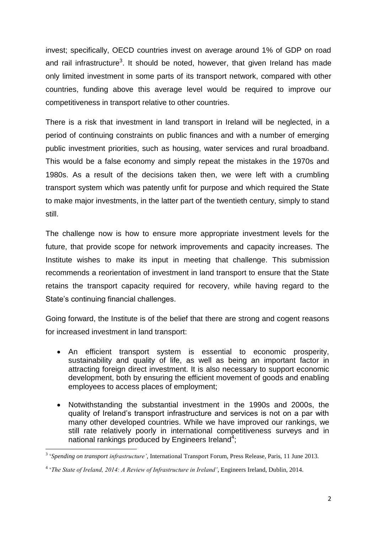invest; specifically, OECD countries invest on average around 1% of GDP on road and rail infrastructure<sup>3</sup>. It should be noted, however, that given Ireland has made only limited investment in some parts of its transport network, compared with other countries, funding above this average level would be required to improve our competitiveness in transport relative to other countries.

There is a risk that investment in land transport in Ireland will be neglected, in a period of continuing constraints on public finances and with a number of emerging public investment priorities, such as housing, water services and rural broadband. This would be a false economy and simply repeat the mistakes in the 1970s and 1980s. As a result of the decisions taken then, we were left with a crumbling transport system which was patently unfit for purpose and which required the State to make major investments, in the latter part of the twentieth century, simply to stand still.

The challenge now is how to ensure more appropriate investment levels for the future, that provide scope for network improvements and capacity increases. The Institute wishes to make its input in meeting that challenge. This submission recommends a reorientation of investment in land transport to ensure that the State retains the transport capacity required for recovery, while having regard to the State's continuing financial challenges.

Going forward, the Institute is of the belief that there are strong and cogent reasons for increased investment in land transport:

- An efficient transport system is essential to economic prosperity, sustainability and quality of life, as well as being an important factor in attracting foreign direct investment. It is also necessary to support economic development, both by ensuring the efficient movement of goods and enabling employees to access places of employment;
- Notwithstanding the substantial investment in the 1990s and 2000s, the quality of Ireland's transport infrastructure and services is not on a par with many other developed countries. While we have improved our rankings, we still rate relatively poorly in international competitiveness surveys and in national rankings produced by Engineers Ireland<sup>4</sup>;

 3 '*Spending on transport infrastructure'*, International Transport Forum, Press Release, Paris, 11 June 2013.

<sup>4</sup> '*The State of Ireland, 2014: A Review of Infrastructure in Ireland'*, Engineers Ireland, Dublin, 2014.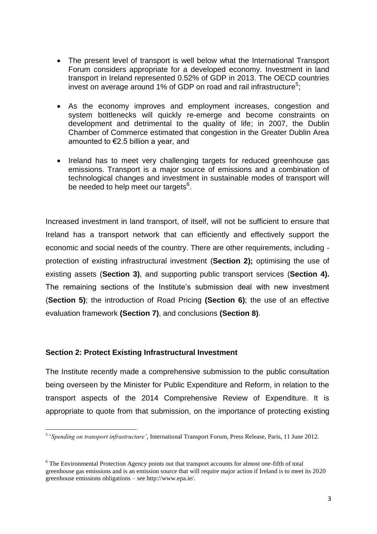- The present level of transport is well below what the International Transport Forum considers appropriate for a developed economy. Investment in land transport in Ireland represented 0.52% of GDP in 2013. The OECD countries invest on average around 1% of GDP on road and rail infrastructure<sup>5</sup>;
- As the economy improves and employment increases, congestion and system bottlenecks will quickly re-emerge and become constraints on development and detrimental to the quality of life; in 2007, the Dublin Chamber of Commerce estimated that congestion in the Greater Dublin Area amounted to  $\epsilon$ 2.5 billion a year, and
- Ireland has to meet very challenging targets for reduced greenhouse gas emissions. Transport is a major source of emissions and a combination of technological changes and investment in sustainable modes of transport will be needed to help meet our targets<sup>6</sup>.

Increased investment in land transport, of itself, will not be sufficient to ensure that Ireland has a transport network that can efficiently and effectively support the economic and social needs of the country. There are other requirements, including protection of existing infrastructural investment (**Section 2);** optimising the use of existing assets (**Section 3)**, and supporting public transport services (**Section 4).** The remaining sections of the Institute's submission deal with new investment (**Section 5)**; the introduction of Road Pricing **(Section 6)**; the use of an effective evaluation framework **(Section 7)**, and conclusions **(Section 8)**.

# **Section 2: Protect Existing Infrastructural Investment**

The Institute recently made a comprehensive submission to the public consultation being overseen by the Minister for Public Expenditure and Reform, in relation to the transport aspects of the 2014 Comprehensive Review of Expenditure. It is appropriate to quote from that submission, on the importance of protecting existing

 5 '*Spending on transport infrastructure'*, International Transport Forum, Press Release, Paris, 11 June 2012.

<sup>&</sup>lt;sup>6</sup> The Environmental Protection Agency points out that transport accounts for almost one-fifth of total greenhouse gas emissions and is an emission source that will require major action if Ireland is to meet its 2020 greenhouse emissions obligations – see http://www.epa.ie/.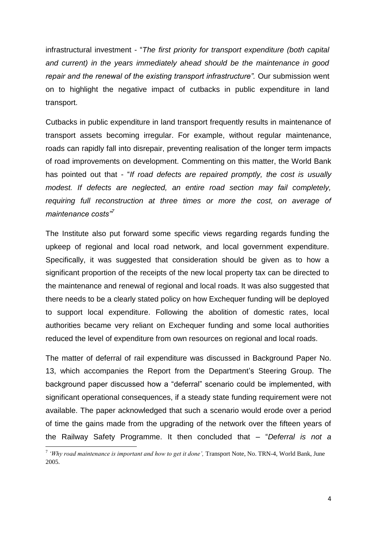infrastructural investment - "*The first priority for transport expenditure (both capital and current) in the years immediately ahead should be the maintenance in good repair and the renewal of the existing transport infrastructure".* Our submission went on to highlight the negative impact of cutbacks in public expenditure in land transport.

Cutbacks in public expenditure in land transport frequently results in maintenance of transport assets becoming irregular. For example, without regular maintenance, roads can rapidly fall into disrepair, preventing realisation of the longer term impacts of road improvements on development. Commenting on this matter, the World Bank has pointed out that - "*If road defects are repaired promptly, the cost is usually modest. If defects are neglected, an entire road section may fail completely, requiring full reconstruction at three times or more the cost, on average of maintenance costs"<sup>7</sup>*

The Institute also put forward some specific views regarding regards funding the upkeep of regional and local road network, and local government expenditure. Specifically, it was suggested that consideration should be given as to how a significant proportion of the receipts of the new local property tax can be directed to the maintenance and renewal of regional and local roads. It was also suggested that there needs to be a clearly stated policy on how Exchequer funding will be deployed to support local expenditure. Following the abolition of domestic rates, local authorities became very reliant on Exchequer funding and some local authorities reduced the level of expenditure from own resources on regional and local roads.

The matter of deferral of rail expenditure was discussed in Background Paper No. 13, which accompanies the Report from the Department's Steering Group. The background paper discussed how a "deferral" scenario could be implemented, with significant operational consequences, if a steady state funding requirement were not available. The paper acknowledged that such a scenario would erode over a period of time the gains made from the upgrading of the network over the fifteen years of the Railway Safety Programme. It then concluded that – "*Deferral is not a* 

<sup>&</sup>lt;sup>7</sup> 'Why road maintenance is important and how to get it done', Transport Note, No. TRN-4, World Bank, June 2005.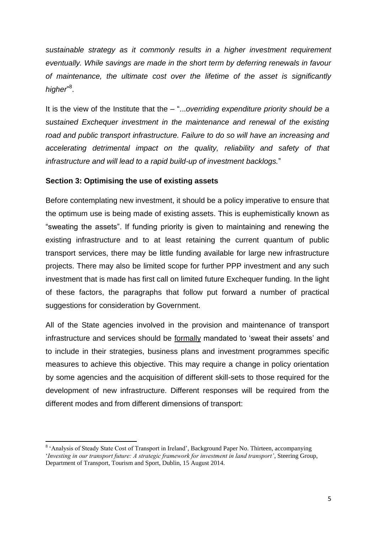*sustainable strategy as it commonly results in a higher investment requirement eventually. While savings are made in the short term by deferring renewals in favour of maintenance, the ultimate cost over the lifetime of the asset is significantly*  higher<sup>"8</sup>.

It is the view of the Institute that the – "...*overriding expenditure priority should be a sustained Exchequer investment in the maintenance and renewal of the existing road and public transport infrastructure. Failure to do so will have an increasing and accelerating detrimental impact on the quality, reliability and safety of that infrastructure and will lead to a rapid build-up of investment backlogs.*"

# **Section 3: Optimising the use of existing assets**

**.** 

Before contemplating new investment, it should be a policy imperative to ensure that the optimum use is being made of existing assets. This is euphemistically known as "sweating the assets". If funding priority is given to maintaining and renewing the existing infrastructure and to at least retaining the current quantum of public transport services, there may be little funding available for large new infrastructure projects. There may also be limited scope for further PPP investment and any such investment that is made has first call on limited future Exchequer funding. In the light of these factors, the paragraphs that follow put forward a number of practical suggestions for consideration by Government.

All of the State agencies involved in the provision and maintenance of transport infrastructure and services should be formally mandated to 'sweat their assets' and to include in their strategies, business plans and investment programmes specific measures to achieve this objective. This may require a change in policy orientation by some agencies and the acquisition of different skill-sets to those required for the development of new infrastructure. Different responses will be required from the different modes and from different dimensions of transport:

<sup>&</sup>lt;sup>8</sup> 'Analysis of Steady State Cost of Transport in Ireland', Background Paper No. Thirteen, accompanying '*Investing in our transport future: A strategic framework for investment in land transport'*, Steering Group, Department of Transport, Tourism and Sport, Dublin, 15 August 2014.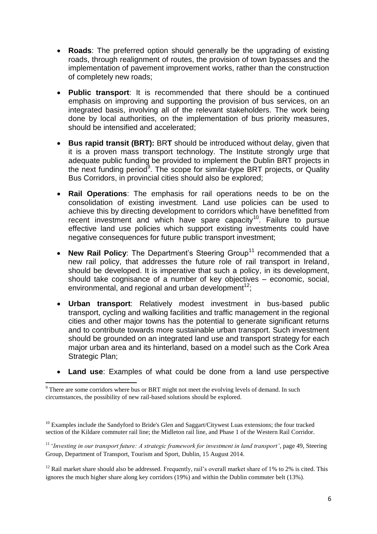- **Roads**: The preferred option should generally be the upgrading of existing roads, through realignment of routes, the provision of town bypasses and the implementation of pavement improvement works, rather than the construction of completely new roads;
- **Public transport**: It is recommended that there should be a continued emphasis on improving and supporting the provision of bus services, on an integrated basis, involving all of the relevant stakeholders. The work being done by local authorities, on the implementation of bus priority measures, should be intensified and accelerated;
- **Bus rapid transit (BRT):** BR**T** should be introduced without delay, given that it is a proven mass transport technology. The Institute strongly urge that adequate public funding be provided to implement the Dublin BRT projects in the next funding period<sup>9</sup>. The scope for similar-type BRT projects, or Quality Bus Corridors, in provincial cities should also be explored;
- **Rail Operations**: The emphasis for rail operations needs to be on the consolidation of existing investment. Land use policies can be used to achieve this by directing development to corridors which have benefitted from recent investment and which have spare capacity<sup>10</sup>. Failure to pursue effective land use policies which support existing investments could have negative consequences for future public transport investment;
- New Rail Policy: The Department's Steering Group<sup>11</sup> recommended that a new rail policy, that addresses the future role of rail transport in Ireland, should be developed. It is imperative that such a policy, in its development, should take cognisance of a number of key objectives – economic, social, environmental, and regional and urban development<sup>12</sup>;
- **Urban transport**: Relatively modest investment in bus-based public transport, cycling and walking facilities and traffic management in the regional cities and other major towns has the potential to generate significant returns and to contribute towards more sustainable urban transport. Such investment should be grounded on an integrated land use and transport strategy for each major urban area and its hinterland, based on a model such as the Cork Area Strategic Plan;
- **Land use**: Examples of what could be done from a land use perspective

<sup>11</sup> '*Investing in our transport future: A strategic framework for investment in land transport'*, page 49, Steering Group, Department of Transport, Tourism and Sport, Dublin, 15 August 2014.

<sup>12</sup> Rail market share should also be addressed. Frequently, rail's overall market share of 1% to 2% is cited. This ignores the much higher share along key corridors (19%) and within the Dublin commuter belt (13%).

<sup>1</sup>  $9$  There are some corridors where bus or BRT might not meet the evolving levels of demand. In such circumstances, the possibility of new rail-based solutions should be explored.

 $10$  Examples include the Sandyford to Bride's Glen and Saggart/Citywest Luas extensions; the four tracked section of the Kildare commuter rail line; the Midleton rail line, and Phase 1 of the Western Rail Corridor.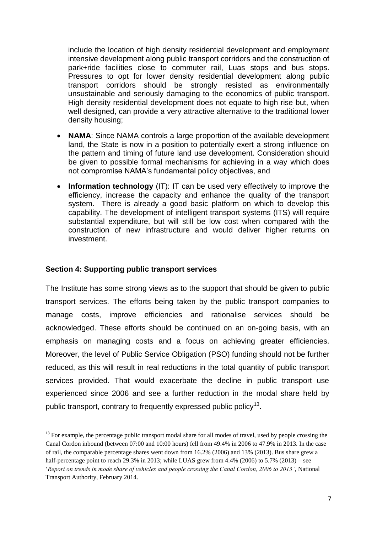include the location of high density residential development and employment intensive development along public transport corridors and the construction of park+ride facilities close to commuter rail, Luas stops and bus stops. Pressures to opt for lower density residential development along public transport corridors should be strongly resisted as environmentally unsustainable and seriously damaging to the economics of public transport. High density residential development does not equate to high rise but, when well designed, can provide a very attractive alternative to the traditional lower density housing;

- **NAMA**: Since NAMA controls a large proportion of the available development land, the State is now in a position to potentially exert a strong influence on the pattern and timing of future land use development. Consideration should be given to possible formal mechanisms for achieving in a way which does not compromise NAMA's fundamental policy objectives, and
- **Information technology** (IT): IT can be used very effectively to improve the efficiency, increase the capacity and enhance the quality of the transport system. There is already a good basic platform on which to develop this capability. The development of intelligent transport systems (ITS) will require substantial expenditure, but will still be low cost when compared with the construction of new infrastructure and would deliver higher returns on investment.

# **Section 4: Supporting public transport services**

**.** 

The Institute has some strong views as to the support that should be given to public transport services. The efforts being taken by the public transport companies to manage costs, improve efficiencies and rationalise services should be acknowledged. These efforts should be continued on an on-going basis, with an emphasis on managing costs and a focus on achieving greater efficiencies. Moreover, the level of Public Service Obligation (PSO) funding should not be further reduced, as this will result in real reductions in the total quantity of public transport services provided. That would exacerbate the decline in public transport use experienced since 2006 and see a further reduction in the modal share held by public transport, contrary to frequently expressed public policy<sup>13</sup>.

<sup>&</sup>lt;sup>13</sup> For example, the percentage public transport modal share for all modes of travel, used by people crossing the Canal Cordon inbound (between 07:00 and 10:00 hours) fell from 49.4% in 2006 to 47.9% in 2013. In the case of rail, the comparable percentage shares went down from 16.2% (2006) and 13% (2013). Bus share grew a half-percentage point to reach 29.3% in 2013; while LUAS grew from 4.4% (2006) to 5.7% (2013) – see '*Report on trends in mode share of vehicles and people crossing the Canal Cordon, 2006 to 2013'*, National Transport Authority, February 2014.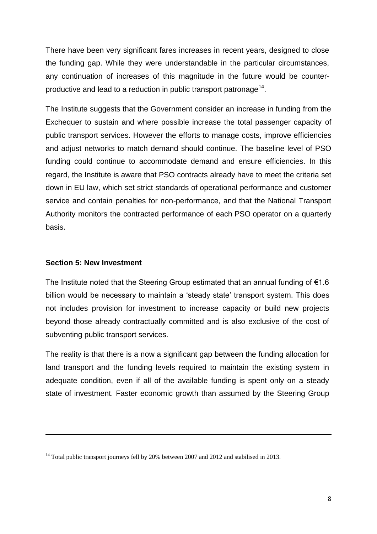There have been very significant fares increases in recent years, designed to close the funding gap. While they were understandable in the particular circumstances, any continuation of increases of this magnitude in the future would be counterproductive and lead to a reduction in public transport patronage<sup>14</sup>.

The Institute suggests that the Government consider an increase in funding from the Exchequer to sustain and where possible increase the total passenger capacity of public transport services. However the efforts to manage costs, improve efficiencies and adjust networks to match demand should continue. The baseline level of PSO funding could continue to accommodate demand and ensure efficiencies. In this regard, the Institute is aware that PSO contracts already have to meet the criteria set down in EU law, which set strict standards of operational performance and customer service and contain penalties for non-performance, and that the National Transport Authority monitors the contracted performance of each PSO operator on a quarterly basis.

# **Section 5: New Investment**

1

The Institute noted that the Steering Group estimated that an annual funding of €1.6 billion would be necessary to maintain a 'steady state' transport system. This does not includes provision for investment to increase capacity or build new projects beyond those already contractually committed and is also exclusive of the cost of subventing public transport services.

The reality is that there is a now a significant gap between the funding allocation for land transport and the funding levels required to maintain the existing system in adequate condition, even if all of the available funding is spent only on a steady state of investment. Faster economic growth than assumed by the Steering Group

<sup>&</sup>lt;sup>14</sup> Total public transport journeys fell by 20% between 2007 and 2012 and stabilised in 2013.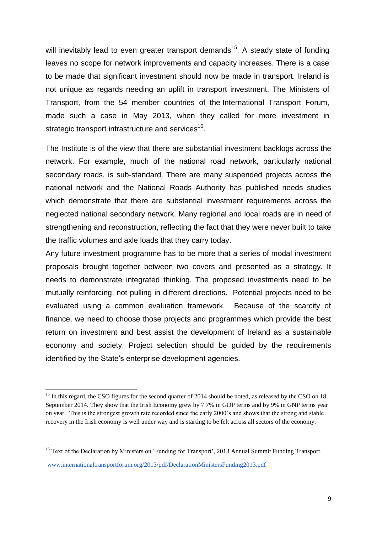will inevitably lead to even greater transport demands<sup>15</sup>. A steady state of funding leaves no scope for network improvements and capacity increases. There is a case to be made that significant investment should now be made in transport. Ireland is not unique as regards needing an uplift in transport investment. The Ministers of Transport, from the 54 member countries of the International Transport Forum, made such a case in May 2013, when they called for more investment in strategic transport infrastructure and services<sup>16</sup>.

The Institute is of the view that there are substantial investment backlogs across the network. For example, much of the national road network, particularly national secondary roads, is sub-standard. There are many suspended projects across the national network and the National Roads Authority has published needs studies which demonstrate that there are substantial investment requirements across the neglected national secondary network. Many regional and local roads are in need of strengthening and reconstruction, reflecting the fact that they were never built to take the traffic volumes and axle loads that they carry today.

Any future investment programme has to be more that a series of modal investment proposals brought together between two covers and presented as a strategy. It needs to demonstrate integrated thinking. The proposed investments need to be mutually reinforcing, not pulling in different directions. Potential projects need to be evaluated using a common evaluation framework. Because of the scarcity of finance, we need to choose those projects and programmes which provide the best return on investment and best assist the development of Ireland as a sustainable economy and society. Project selection should be guided by the requirements identified by the State's enterprise development agencies.

<sup>&</sup>lt;sup>15</sup> In this regard, the CSO figures for the second quarter of 2014 should be noted, as released by the CSO on 18 September 2014. They show that the Irish Economy grew by 7.7% in GDP terms and by 9% in GNP terms year on year. This is the strongest growth rate recorded since the early 2000's and shows that the strong and stable recovery in the Irish economy is well under way and is starting to be felt across all sectors of the economy.

<sup>&</sup>lt;sup>16</sup> Text of the Declaration by Ministers on 'Funding for Transport', 2013 Annual Summit Funding Transport. [www.internationaltransportforum.org/2013/pdf/DeclarationMinistersFunding2013.pdf](http://www.internationaltransportforum.org/2013/pdf/DeclarationMinistersFunding2013.pdf)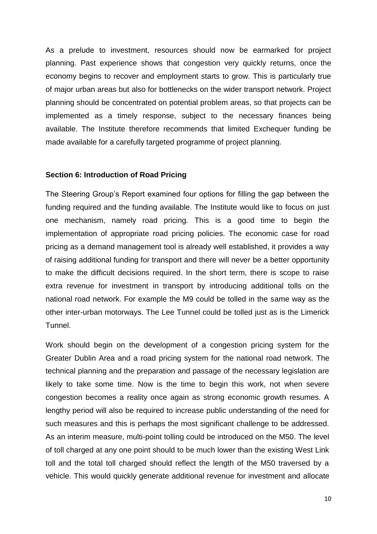As a prelude to investment, resources should now be earmarked for project planning. Past experience shows that congestion very quickly returns, once the economy begins to recover and employment starts to grow. This is particularly true of major urban areas but also for bottlenecks on the wider transport network. Project planning should be concentrated on potential problem areas, so that projects can be implemented as a timely response, subject to the necessary finances being available. The Institute therefore recommends that limited Exchequer funding be made available for a carefully targeted programme of project planning.

#### **Section 6: Introduction of Road Pricing**

The Steering Group's Report examined four options for filling the gap between the funding required and the funding available. The Institute would like to focus on just one mechanism, namely road pricing. This is a good time to begin the implementation of appropriate road pricing policies. The economic case for road pricing as a demand management tool is already well established, it provides a way of raising additional funding for transport and there will never be a better opportunity to make the difficult decisions required. In the short term, there is scope to raise extra revenue for investment in transport by introducing additional tolls on the national road network. For example the M9 could be tolled in the same way as the other inter-urban motorways. The Lee Tunnel could be tolled just as is the Limerick Tunnel.

Work should begin on the development of a congestion pricing system for the Greater Dublin Area and a road pricing system for the national road network. The technical planning and the preparation and passage of the necessary legislation are likely to take some time. Now is the time to begin this work, not when severe congestion becomes a reality once again as strong economic growth resumes. A lengthy period will also be required to increase public understanding of the need for such measures and this is perhaps the most significant challenge to be addressed. As an interim measure, multi-point tolling could be introduced on the M50. The level of toll charged at any one point should to be much lower than the existing West Link toll and the total toll charged should reflect the length of the M50 traversed by a vehicle. This would quickly generate additional revenue for investment and allocate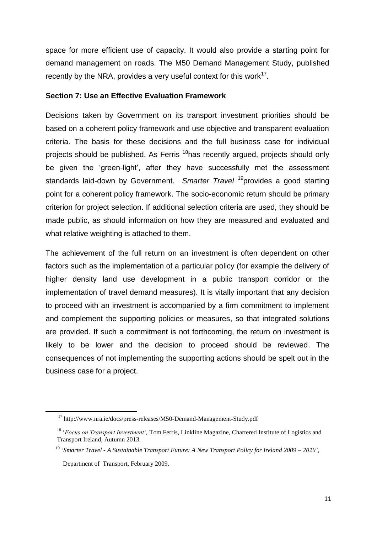space for more efficient use of capacity. It would also provide a starting point for demand management on roads. The M50 Demand Management Study, published recently by the NRA, provides a very useful context for this work $17$ .

# **Section 7: Use an Effective Evaluation Framework**

Decisions taken by Government on its transport investment priorities should be based on a coherent policy framework and use objective and transparent evaluation criteria. The basis for these decisions and the full business case for individual projects should be published. As Ferris <sup>18</sup>has recently argued, projects should only be given the 'green-light', after they have successfully met the assessment standards laid-down by Government. *Smarter Travel* <sup>19</sup>provides a good starting point for a coherent policy framework. The socio-economic return should be primary criterion for project selection. If additional selection criteria are used, they should be made public, as should information on how they are measured and evaluated and what relative weighting is attached to them.

The achievement of the full return on an investment is often dependent on other factors such as the implementation of a particular policy (for example the delivery of higher density land use development in a public transport corridor or the implementation of travel demand measures). It is vitally important that any decision to proceed with an investment is accompanied by a firm commitment to implement and complement the supporting policies or measures, so that integrated solutions are provided. If such a commitment is not forthcoming, the return on investment is likely to be lower and the decision to proceed should be reviewed. The consequences of not implementing the supporting actions should be spelt out in the business case for a project.

<sup>17</sup> http://www.nra.ie/docs/press-releases/M50-Demand-Management-Study.pdf

<sup>18</sup> '*Focus on Transport Investment',* Tom Ferris*,* Linkline Magazine, Chartered Institute of Logistics and Transport Ireland, Autumn 2013.

<sup>19</sup> '*Smarter Travel - A Sustainable Transport Future: A New Transport Policy for Ireland 2009 – 2020'*,

Department of Transport, February 2009.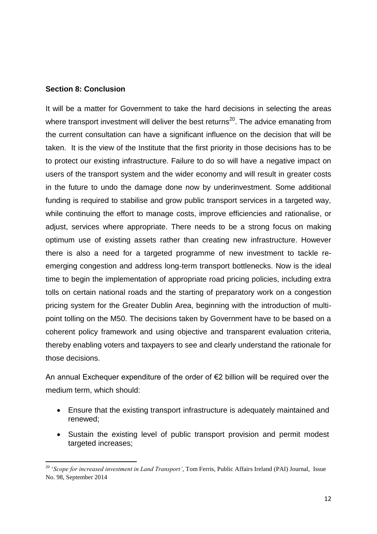# **Section 8: Conclusion**

**.** 

It will be a matter for Government to take the hard decisions in selecting the areas where transport investment will deliver the best returns<sup>20</sup>. The advice emanating from the current consultation can have a significant influence on the decision that will be taken. It is the view of the Institute that the first priority in those decisions has to be to protect our existing infrastructure. Failure to do so will have a negative impact on users of the transport system and the wider economy and will result in greater costs in the future to undo the damage done now by underinvestment. Some additional funding is required to stabilise and grow public transport services in a targeted way, while continuing the effort to manage costs, improve efficiencies and rationalise, or adjust, services where appropriate. There needs to be a strong focus on making optimum use of existing assets rather than creating new infrastructure. However there is also a need for a targeted programme of new investment to tackle reemerging congestion and address long-term transport bottlenecks. Now is the ideal time to begin the implementation of appropriate road pricing policies, including extra tolls on certain national roads and the starting of preparatory work on a congestion pricing system for the Greater Dublin Area, beginning with the introduction of multipoint tolling on the M50. The decisions taken by Government have to be based on a coherent policy framework and using objective and transparent evaluation criteria, thereby enabling voters and taxpayers to see and clearly understand the rationale for those decisions.

An annual Exchequer expenditure of the order of €2 billion will be required over the medium term, which should:

- Ensure that the existing transport infrastructure is adequately maintained and renewed;
- Sustain the existing level of public transport provision and permit modest targeted increases;

<sup>20</sup> '*Scope for increased investment in Land Transport',* Tom Ferris, Public Affairs Ireland (PAI) Journal, Issue No. 98, September 2014